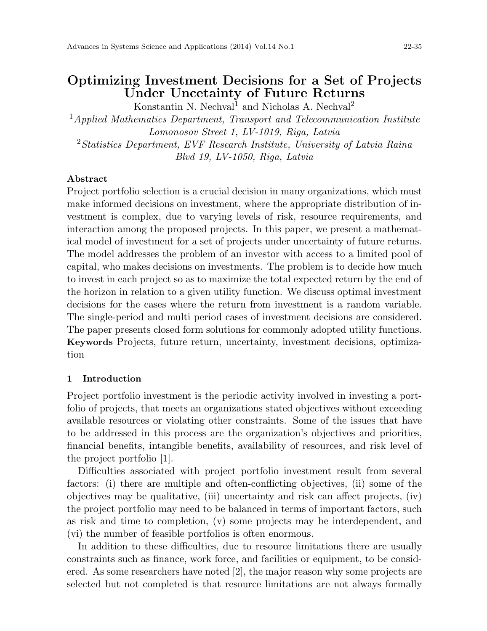# **Optimizing Investment Decisions for a Set of Projects Under Uncetainty of Future Returns**

Konstantin N. Nechval<sup>1</sup> and Nicholas A. Nechval<sup>2</sup>

<sup>1</sup>*Applied Mathematics Department, Transport and Telecommunication Institute Lomonosov Street 1, LV-1019, Riga, Latvia* <sup>2</sup>*Statistics Department, EVF Research Institute, University of Latvia Raina Blvd 19, LV-1050, Riga, Latvia*

# **Abstract**

Project portfolio selection is a crucial decision in many organizations, which must make informed decisions on investment, where the appropriate distribution of investment is complex, due to varying levels of risk, resource requirements, and interaction among the proposed projects. In this paper, we present a mathematical model of investment for a set of projects under uncertainty of future returns. The model addresses the problem of an investor with access to a limited pool of capital, who makes decisions on investments. The problem is to decide how much to invest in each project so as to maximize the total expected return by the end of the horizon in relation to a given utility function. We discuss optimal investment decisions for the cases where the return from investment is a random variable. The single-period and multi period cases of investment decisions are considered. The paper presents closed form solutions for commonly adopted utility functions. **Keywords** Projects, future return, uncertainty, investment decisions, optimization

## **1 Introduction**

Project portfolio investment is the periodic activity involved in investing a portfolio of projects, that meets an organizations stated objectives without exceeding available resources or violating other constraints. Some of the issues that have to be addressed in this process are the organization's objectives and priorities, financial benefits, intangible benefits, availability of resources, and risk level of the project portfolio [1].

Difficulties associated with project portfolio investment result from several factors: (i) there are multiple and often-conflicting objectives, (ii) some of the objectives may be qualitative, (iii) uncertainty and risk can affect projects, (iv) the project portfolio may need to be balanced in terms of important factors, such as risk and time to completion, (v) some projects may be interdependent, and (vi) the number of feasible portfolios is often enormous.

In addition to these difficulties, due to resource limitations there are usually constraints such as finance, work force, and facilities or equipment, to be considered. As some researchers have noted [2], the major reason why some projects are selected but not completed is that resource limitations are not always formally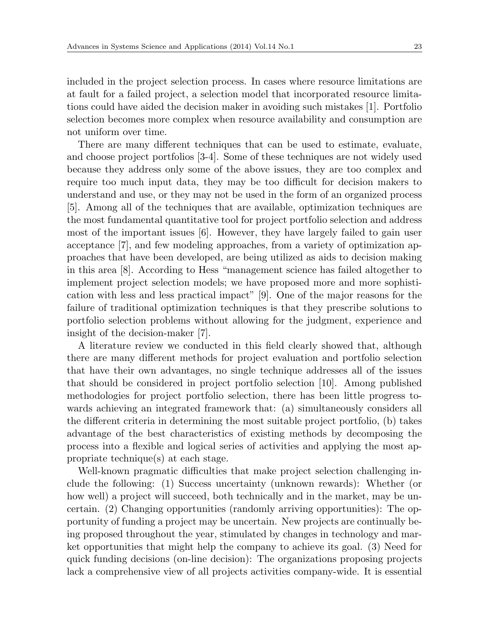included in the project selection process. In cases where resource limitations are at fault for a failed project, a selection model that incorporated resource limitations could have aided the decision maker in avoiding such mistakes [1]. Portfolio selection becomes more complex when resource availability and consumption are not uniform over time.

There are many different techniques that can be used to estimate, evaluate, and choose project portfolios [3-4]. Some of these techniques are not widely used because they address only some of the above issues, they are too complex and require too much input data, they may be too difficult for decision makers to understand and use, or they may not be used in the form of an organized process [5]. Among all of the techniques that are available, optimization techniques are the most fundamental quantitative tool for project portfolio selection and address most of the important issues [6]. However, they have largely failed to gain user acceptance [7], and few modeling approaches, from a variety of optimization approaches that have been developed, are being utilized as aids to decision making in this area [8]. According to Hess "management science has failed altogether to implement project selection models; we have proposed more and more sophistication with less and less practical impact" [9]. One of the major reasons for the failure of traditional optimization techniques is that they prescribe solutions to portfolio selection problems without allowing for the judgment, experience and insight of the decision-maker [7].

A literature review we conducted in this field clearly showed that, although there are many different methods for project evaluation and portfolio selection that have their own advantages, no single technique addresses all of the issues that should be considered in project portfolio selection [10]. Among published methodologies for project portfolio selection, there has been little progress towards achieving an integrated framework that: (a) simultaneously considers all the different criteria in determining the most suitable project portfolio, (b) takes advantage of the best characteristics of existing methods by decomposing the process into a flexible and logical series of activities and applying the most appropriate technique(s) at each stage.

Well-known pragmatic difficulties that make project selection challenging include the following: (1) Success uncertainty (unknown rewards): Whether (or how well) a project will succeed, both technically and in the market, may be uncertain. (2) Changing opportunities (randomly arriving opportunities): The opportunity of funding a project may be uncertain. New projects are continually being proposed throughout the year, stimulated by changes in technology and market opportunities that might help the company to achieve its goal. (3) Need for quick funding decisions (on-line decision): The organizations proposing projects lack a comprehensive view of all projects activities company-wide. It is essential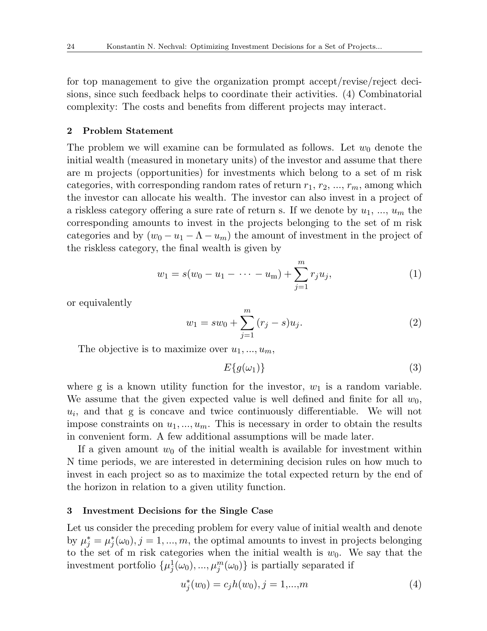for top management to give the organization prompt accept/revise/reject decisions, since such feedback helps to coordinate their activities. (4) Combinatorial complexity: The costs and benefits from different projects may interact.

### **2 Problem Statement**

The problem we will examine can be formulated as follows. Let  $w_0$  denote the initial wealth (measured in monetary units) of the investor and assume that there are m projects (opportunities) for investments which belong to a set of m risk categories, with corresponding random rates of return  $r_1, r_2, ..., r_m$ , among which the investor can allocate his wealth. The investor can also invest in a project of a riskless category offering a sure rate of return s. If we denote by  $u_1, ..., u_m$  the corresponding amounts to invest in the projects belonging to the set of m risk categories and by  $(w_0 - u_1 - \Lambda - u_m)$  the amount of investment in the project of the riskless category, the final wealth is given by

$$
w_1 = s(w_0 - u_1 - \dots - u_m) + \sum_{j=1}^{m} r_j u_j,
$$
 (1)

or equivalently

$$
w_1 = sw_0 + \sum_{j=1}^{m} (r_j - s)u_j.
$$
 (2)

The objective is to maximize over  $u_1, \ldots, u_m$ ,

$$
E\{g(\omega_1)\}\tag{3}
$$

where g is a known utility function for the investor,  $w_1$  is a random variable. We assume that the given expected value is well defined and finite for all  $w_0$ ,  $u_i$ , and that g is concave and twice continuously differentiable. We will not impose constraints on  $u_1, \ldots, u_m$ . This is necessary in order to obtain the results in convenient form. A few additional assumptions will be made later.

If a given amount  $w_0$  of the initial wealth is available for investment within N time periods, we are interested in determining decision rules on how much to invest in each project so as to maximize the total expected return by the end of the horizon in relation to a given utility function.

### **3 Investment Decisions for the Single Case**

Let us consider the preceding problem for every value of initial wealth and denote by  $\mu_j^* = \mu_j^*(\omega_0), j = 1, ..., m$ , the optimal amounts to invest in projects belonging to the set of m risk categories when the initial wealth is  $w_0$ . We say that the investment portfolio  $\{\mu_j^1(\omega_0), ..., \mu_j^m(\omega_0)\}\$ is partially separated if

$$
u_j^*(w_0) = c_j h(w_0), j = 1,...,m
$$
\n(4)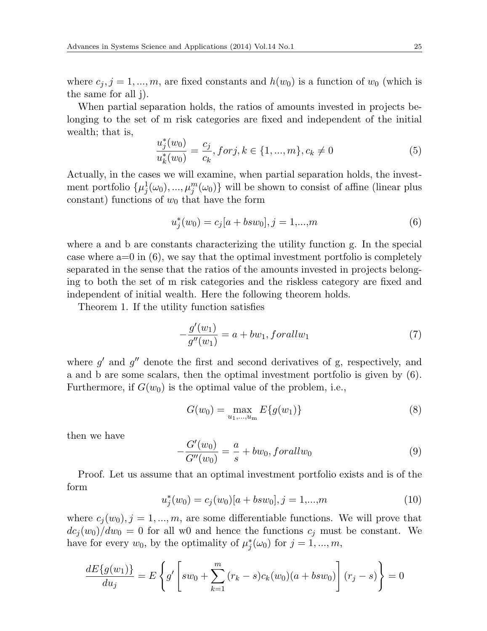where  $c_j$ ,  $j = 1, ..., m$ , are fixed constants and  $h(w_0)$  is a function of  $w_0$  (which is the same for all j).

When partial separation holds, the ratios of amounts invested in projects belonging to the set of m risk categories are fixed and independent of the initial wealth; that is,

$$
\frac{u_j^*(w_0)}{u_k^*(w_0)} = \frac{c_j}{c_k}, \text{for } j, k \in \{1, ..., m\}, c_k \neq 0 \tag{5}
$$

Actually, in the cases we will examine, when partial separation holds, the investment portfolio  $\{\mu_j^1(\omega_0), ..., \mu_j^m(\omega_0)\}\$  will be shown to consist of affine (linear plus constant) functions of  $w_0$  that have the form

$$
u_j^*(w_0) = c_j[a + bsw_0], j = 1,...,m
$$
\n(6)

where a and b are constants characterizing the utility function g. In the special case where  $a=0$  in  $(6)$ , we say that the optimal investment portfolio is completely separated in the sense that the ratios of the amounts invested in projects belonging to both the set of m risk categories and the riskless category are fixed and independent of initial wealth. Here the following theorem holds.

Theorem 1. If the utility function satisfies

$$
-\frac{g'(w_1)}{g''(w_1)} = a + bw_1, for all w_1 \tag{7}
$$

where  $g'$  and  $g''$  denote the first and second derivatives of g, respectively, and a and b are some scalars, then the optimal investment portfolio is given by (6). Furthermore, if  $G(w_0)$  is the optimal value of the problem, i.e.,

$$
G(w_0) = \max_{u_1, \dots, u_m} E\{g(w_1)\}\tag{8}
$$

then we have

$$
-\frac{G'(w_0)}{G''(w_0)} = \frac{a}{s} + bw_0, for all w_0 \tag{9}
$$

Proof. Let us assume that an optimal investment portfolio exists and is of the form

$$
u_j^*(w_0) = c_j(w_0)[a + bsw_0], j = 1,...,m
$$
\n(10)

where  $c_j(w_0), j = 1, ..., m$ , are some differentiable functions. We will prove that  $dc_j(w_0)/dw_0 = 0$  for all w0 and hence the functions  $c_j$  must be constant. We have for every  $w_0$ , by the optimality of  $\mu_j^*(\omega_0)$  for  $j = 1, ..., m$ ,

$$
\frac{dE\{g(w_1)\}}{du_j} = E\left\{g'\left[sw_0 + \sum_{k=1}^m (r_k - s)c_k(w_0)(a + bsw_0)\right](r_j - s)\right\} = 0
$$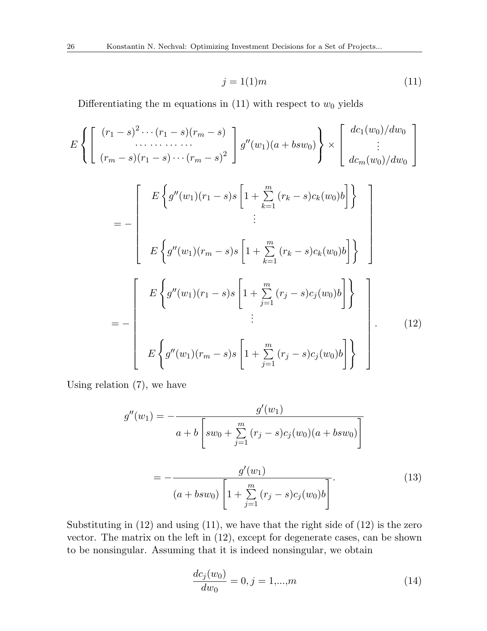$$
j = 1(1)m\tag{11}
$$

Differentiating the m equations in  $(11)$  with respect to  $w_0$  yields

$$
E\left\{\begin{bmatrix} (r_1 - s)^2 \cdots (r_1 - s)(r_m - s) \\ \vdots \\ (r_m - s)(r_1 - s) \cdots (r_m - s)^2 \end{bmatrix} g''(w_1)(a + bsw_0) \right\} \times \begin{bmatrix} dc_1(w_0)/dw_0 \\ \vdots \\ dc_m(w_0)/dw_0 \end{bmatrix}
$$
  
= 
$$
- \begin{bmatrix} E\left\{g''(w_1)(r_1 - s)s \left[1 + \sum_{k=1}^m (r_k - s)c_k(w_0)b\right]\right\} \\ E\left\{g''(w_1)(r_m - s)s \left[1 + \sum_{k=1}^m (r_k - s)c_k(w_0)b\right]\right\} \\ \vdots \\ E\left\{g''(w_1)(r_1 - s)s \left[1 + \sum_{j=1}^m (r_j - s)c_j(w_0)b\right]\right\} \\ \vdots \\ E\left\{g''(w_1)(r_m - s)s \left[1 + \sum_{j=1}^m (r_j - s)c_j(w_0)b\right]\right\} \end{bmatrix}.
$$
(12)

Using relation (7), we have

$$
g''(w_1) = -\frac{g'(w_1)}{a+b \left[ sw_0 + \sum_{j=1}^m (r_j - s)c_j(w_0)(a + bsw_0) \right]}
$$
  
= 
$$
-\frac{g'(w_1)}{(a + bsw_0) \left[ 1 + \sum_{j=1}^m (r_j - s)c_j(w_0)b \right]}.
$$
 (13)

Substituting in (12) and using (11), we have that the right side of (12) is the zero vector. The matrix on the left in (12), except for degenerate cases, can be shown to be nonsingular. Assuming that it is indeed nonsingular, we obtain

$$
\frac{dc_j(w_0)}{dw_0} = 0, j = 1,...,m
$$
\n(14)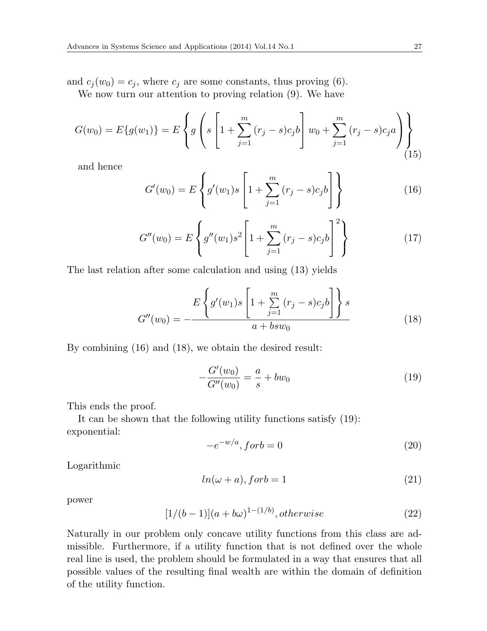and  $c_j(w_0) = c_j$ , where  $c_j$  are some constants, thus proving (6).

We now turn our attention to proving relation (9). We have

$$
G(w_0) = E\{g(w_1)\} = E\left\{g\left(s\left[1 + \sum_{j=1}^m (r_j - s)c_j b\right] w_0 + \sum_{j=1}^m (r_j - s)c_j a\right)\right\}
$$
\n(15)

and hence

$$
G'(w_0) = E\left\{g'(w_1)s \left[1 + \sum_{j=1}^m (r_j - s)c_jb\right]\right\}
$$
 (16)

$$
G''(w_0) = E\left\{g''(w_1)s^2\left[1 + \sum_{j=1}^m (r_j - s)c_jb\right]^2\right\}
$$
 (17)

The last relation after some calculation and using (13) yields

$$
G''(w_0) = -\frac{E\left\{g'(w_1)s\left[1+\sum_{j=1}^m (r_j-s)c_jb\right]\right\}s}{a+bsw_0}
$$
\n(18)

By combining (16) and (18), we obtain the desired result:

$$
-\frac{G'(w_0)}{G''(w_0)} = \frac{a}{s} + bw_0 \tag{19}
$$

This ends the proof.

It can be shown that the following utility functions satisfy (19): exponential:

$$
-e^{-w/a}, for b = 0 \tag{20}
$$

Logarithmic

$$
ln(\omega + a), for b = 1 \tag{21}
$$

power

$$
[1/(b-1)](a+b\omega)^{1-(1/b)}, otherwise \t(22)
$$

Naturally in our problem only concave utility functions from this class are admissible. Furthermore, if a utility function that is not defined over the whole real line is used, the problem should be formulated in a way that ensures that all possible values of the resulting final wealth are within the domain of definition of the utility function.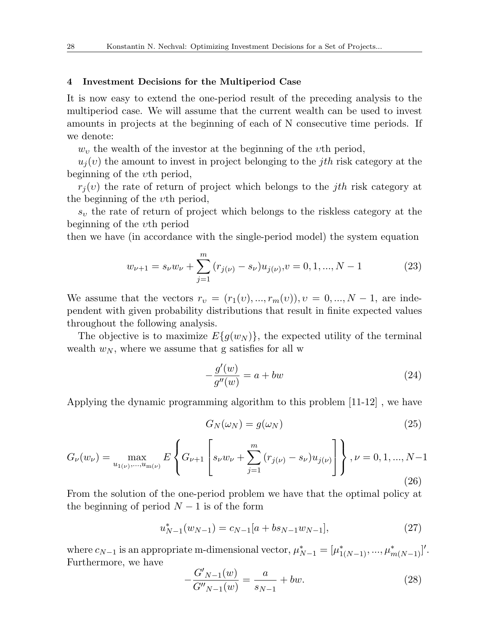### **4 Investment Decisions for the Multiperiod Case**

It is now easy to extend the one-period result of the preceding analysis to the multiperiod case. We will assume that the current wealth can be used to invest amounts in projects at the beginning of each of N consecutive time periods. If we denote:

*w<sup>υ</sup>* the wealth of the investor at the beginning of the *υ*th period,

 $u_i(v)$  the amount to invest in project belonging to the *j*th risk category at the beginning of the *υ*th period,

 $r_j(v)$  the rate of return of project which belongs to the *jth* risk category at the beginning of the *υ*th period,

*s<sup>υ</sup>* the rate of return of project which belongs to the riskless category at the beginning of the *υ*th period

then we have (in accordance with the single-period model) the system equation

$$
w_{\nu+1} = s_{\nu}w_{\nu} + \sum_{j=1}^{m} (r_{j(\nu)} - s_{\nu})u_{j(\nu)}, v = 0, 1, ..., N - 1
$$
 (23)

We assume that the vectors  $r_v = (r_1(v), ..., r_m(v)), v = 0, ..., N-1$ , are independent with given probability distributions that result in finite expected values throughout the following analysis.

The objective is to maximize  $E\{q(w_N)\}\$ , the expected utility of the terminal wealth  $w_N$ , where we assume that g satisfies for all w

$$
-\frac{g'(w)}{g''(w)} = a + bw \tag{24}
$$

Applying the dynamic programming algorithm to this problem [11-12] , we have

$$
G_N(\omega_N) = g(\omega_N) \tag{25}
$$

$$
G_{\nu}(w_{\nu}) = \max_{u_{1(\nu)}, \dots, u_{m(\nu)}} E\left\{ G_{\nu+1} \left[ s_{\nu} w_{\nu} + \sum_{j=1}^{m} (r_{j(\nu)} - s_{\nu}) u_{j(\nu)} \right] \right\}, \nu = 0, 1, ..., N-1
$$
\n(26)

From the solution of the one-period problem we have that the optimal policy at the beginning of period  $N-1$  is of the form

$$
u_{N-1}^*(w_{N-1}) = c_{N-1}[a + bs_{N-1}w_{N-1}],
$$
\n(27)

where  $c_{N-1}$  is an appropriate m-dimensional vector,  $\mu_{N-1}^* = [\mu_{1(N-1)}^*, ..., \mu_{m(N-1)}^*]'$ . Furthermore, we have

$$
-\frac{G'_{N-1}(w)}{G''_{N-1}(w)} = \frac{a}{s_{N-1}} + bw.
$$
\n(28)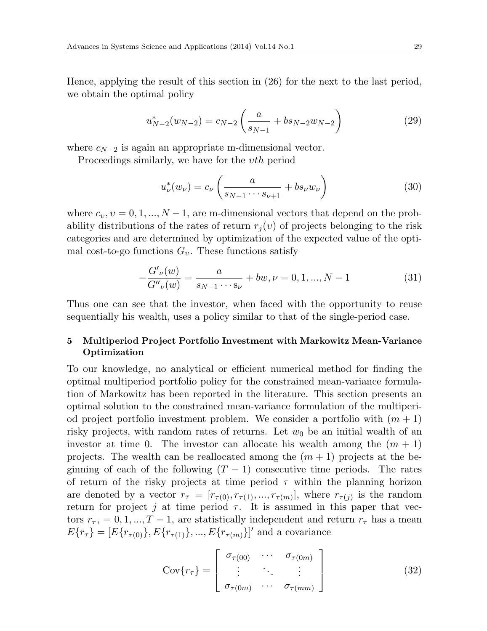Hence, applying the result of this section in (26) for the next to the last period, we obtain the optimal policy

$$
u_{N-2}^*(w_{N-2}) = c_{N-2} \left( \frac{a}{s_{N-1}} + bs_{N-2} w_{N-2} \right)
$$
 (29)

where  $c_{N-2}$  is again an appropriate m-dimensional vector.

Proceedings similarly, we have for the *υth* period

$$
u_{\nu}^*(w_{\nu}) = c_{\nu} \left( \frac{a}{s_{N-1} \cdots s_{\nu+1}} + b s_{\nu} w_{\nu} \right)
$$
 (30)

where  $c_v, v = 0, 1, ..., N - 1$ , are m-dimensional vectors that depend on the probability distributions of the rates of return  $r_j(v)$  of projects belonging to the risk categories and are determined by optimization of the expected value of the optimal cost-to-go functions *Gυ*. These functions satisfy

$$
-\frac{G'_{\nu}(w)}{G''_{\nu}(w)} = \frac{a}{s_{N-1}\cdots s_{\nu}} + bw, \nu = 0, 1, ..., N-1
$$
\n(31)

Thus one can see that the investor, when faced with the opportunity to reuse sequentially his wealth, uses a policy similar to that of the single-period case.

# **5 Multiperiod Project Portfolio Investment with Markowitz Mean-Variance Optimization**

To our knowledge, no analytical or efficient numerical method for finding the optimal multiperiod portfolio policy for the constrained mean-variance formulation of Markowitz has been reported in the literature. This section presents an optimal solution to the constrained mean-variance formulation of the multiperiod project portfolio investment problem. We consider a portfolio with  $(m + 1)$ risky projects, with random rates of returns. Let  $w_0$  be an initial wealth of an investor at time 0. The investor can allocate his wealth among the  $(m + 1)$ projects. The wealth can be reallocated among the  $(m + 1)$  projects at the beginning of each of the following  $(T - 1)$  consecutive time periods. The rates of return of the risky projects at time period  $\tau$  within the planning horizon are denoted by a vector  $r_{\tau} = [r_{\tau(0)}, r_{\tau(1)}, ..., r_{\tau(m)}]$ , where  $r_{\tau(j)}$  is the random return for project *j* at time period  $\tau$ . It is assumed in this paper that vectors  $r_{\tau}$ , = 0, 1, ..., T − 1, are statistically independent and return  $r_{\tau}$  has a mean  $E\{r_{\tau}\} = [E\{r_{\tau(0)}\}, E\{r_{\tau(1)}\}, ..., E\{r_{\tau(m)}\}]'$  and a covariance

$$
Cov\{r_{\tau}\} = \begin{bmatrix} \sigma_{\tau(00)} & \cdots & \sigma_{\tau(0m)} \\ \vdots & \ddots & \vdots \\ \sigma_{\tau(0m)} & \cdots & \sigma_{\tau(mm)} \end{bmatrix}
$$
(32)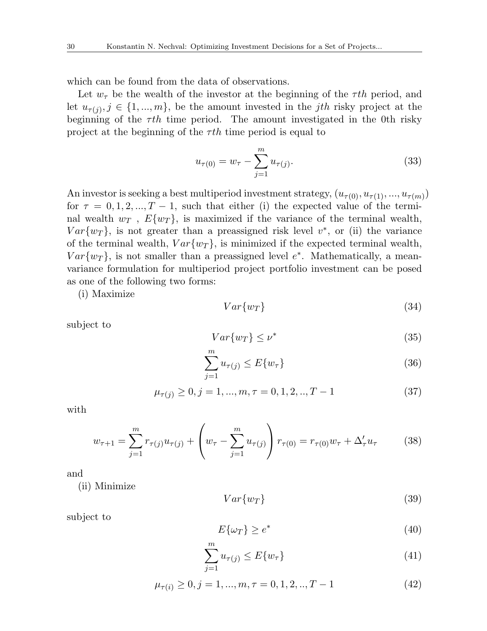which can be found from the data of observations.

Let  $w_{\tau}$  be the wealth of the investor at the beginning of the  $\tau$ th period, and let  $u_{\tau(j)}, j \in \{1, ..., m\}$ , be the amount invested in the *j*th risky project at the beginning of the  $\tau th$  time period. The amount investigated in the 0th risky project at the beginning of the *τ th* time period is equal to

$$
u_{\tau(0)} = w_{\tau} - \sum_{j=1}^{m} u_{\tau(j)}.
$$
\n(33)

An investor is seeking a best multiperiod investment strategy,  $(u_{\tau(0)}, u_{\tau(1)}, ..., u_{\tau(m)})$ for  $\tau = 0, 1, 2, ..., T - 1$ , such that either (i) the expected value of the terminal wealth  $w_T$ ,  $E\{w_T\}$ , is maximized if the variance of the terminal wealth,  $Var\{w_T\}$ , is not greater than a preassigned risk level  $v^*$ , or (ii) the variance of the terminal wealth,  $Var\{w_T\}$ , is minimized if the expected terminal wealth,  $Var\{w_T\}$ , is not smaller than a preassigned level  $e^*$ . Mathematically, a meanvariance formulation for multiperiod project portfolio investment can be posed as one of the following two forms:

(i) Maximize

$$
Var\{w_T\} \tag{34}
$$

subject to

$$
Var\{w_T\} \le \nu^* \tag{35}
$$

$$
\sum_{j=1}^{m} u_{\tau(j)} \le E\{w_{\tau}\}\tag{36}
$$

$$
\mu_{\tau(j)} \ge 0, j = 1, ..., m, \tau = 0, 1, 2, ..., T - 1
$$
\n(37)

with

$$
w_{\tau+1} = \sum_{j=1}^{m} r_{\tau(j)} u_{\tau(j)} + \left( w_{\tau} - \sum_{j=1}^{m} u_{\tau(j)} \right) r_{\tau(0)} = r_{\tau(0)} w_{\tau} + \Delta_{\tau}' u_{\tau}
$$
(38)

and

(ii) Minimize

$$
Var\{w_T\} \tag{39}
$$

subject to

$$
E\{\omega_T\} \ge e^* \tag{40}
$$

$$
\sum_{j=1}^{m} u_{\tau(j)} \le E\{w_{\tau}\}\tag{41}
$$

$$
\mu_{\tau(i)} \ge 0, j = 1, ..., m, \tau = 0, 1, 2, ..., T - 1
$$
\n(42)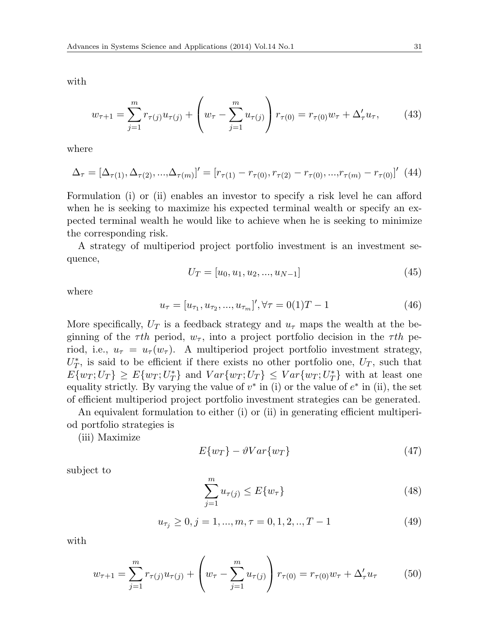with

$$
w_{\tau+1} = \sum_{j=1}^{m} r_{\tau(j)} u_{\tau(j)} + \left( w_{\tau} - \sum_{j=1}^{m} u_{\tau(j)} \right) r_{\tau(0)} = r_{\tau(0)} w_{\tau} + \Delta_{\tau}' u_{\tau}, \qquad (43)
$$

where

$$
\Delta_{\tau} = [\Delta_{\tau(1)}, \Delta_{\tau(2)}, ..., \Delta_{\tau(m)}]' = [r_{\tau(1)} - r_{\tau(0)}, r_{\tau(2)} - r_{\tau(0)}, ..., r_{\tau(m)} - r_{\tau(0)}]' \tag{44}
$$

Formulation (i) or (ii) enables an investor to specify a risk level he can afford when he is seeking to maximize his expected terminal wealth or specify an expected terminal wealth he would like to achieve when he is seeking to minimize the corresponding risk.

A strategy of multiperiod project portfolio investment is an investment sequence,

$$
U_T = [u_0, u_1, u_2, ..., u_{N-1}]
$$
\n(45)

where

$$
u_{\tau} = [u_{\tau_1}, u_{\tau_2}, ..., u_{\tau_m}]', \forall \tau = 0 \tag{46}
$$

More specifically,  $U_T$  is a feedback strategy and  $u_\tau$  maps the wealth at the beginning of the  $\tau$ th period,  $w_{\tau}$ , into a project portfolio decision in the  $\tau$ th period, i.e.,  $u_{\tau} = u_{\tau}(w_{\tau})$ . A multiperiod project portfolio investment strategy,  $U_T^*$ , is said to be efficient if there exists no other portfolio one,  $U_T$ , such that  $E\{w_T; U_T\} \ge E\{w_T; U_T^*\}$  and  $Var\{w_T; U_T\} \le Var\{w_T; U_T^*\}$  with at least one equality strictly. By varying the value of  $v^*$  in (i) or the value of  $e^*$  in (ii), the set of efficient multiperiod project portfolio investment strategies can be generated.

An equivalent formulation to either (i) or (ii) in generating efficient multiperiod portfolio strategies is

(iii) Maximize

$$
E\{w_T\} - \vartheta Var\{w_T\} \tag{47}
$$

subject to

$$
\sum_{j=1}^{m} u_{\tau(j)} \le E\{w_{\tau}\}\tag{48}
$$

$$
u_{\tau_j} \ge 0, j = 1, ..., m, \tau = 0, 1, 2, ..., T - 1
$$
\n<sup>(49)</sup>

with

$$
w_{\tau+1} = \sum_{j=1}^{m} r_{\tau(j)} u_{\tau(j)} + \left( w_{\tau} - \sum_{j=1}^{m} u_{\tau(j)} \right) r_{\tau(0)} = r_{\tau(0)} w_{\tau} + \Delta_{\tau}' u_{\tau}
$$
(50)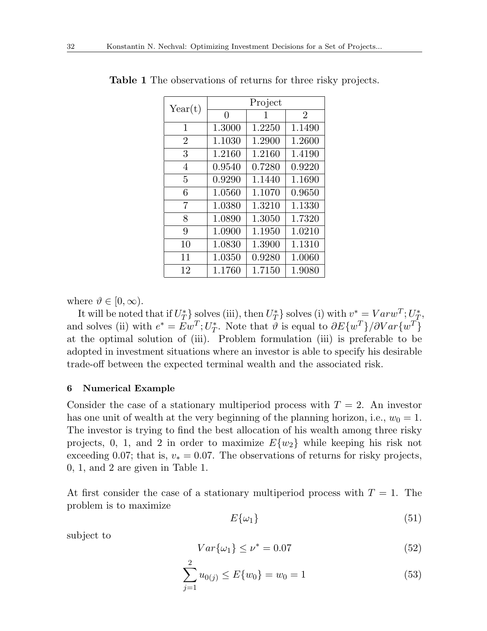| Year(t)        | Project  |        |                |
|----------------|----------|--------|----------------|
|                | $\Omega$ | 1      | $\overline{2}$ |
| 1              | 1.3000   | 1.2250 | 1.1490         |
| $\overline{2}$ | 1.1030   | 1.2900 | 1.2600         |
| 3              | 1.2160   | 1.2160 | 1.4190         |
| 4              | 0.9540   | 0.7280 | 0.9220         |
| 5              | 0.9290   | 1.1440 | 1.1690         |
| 6              | 1.0560   | 1.1070 | 0.9650         |
| 7              | 1.0380   | 1.3210 | 1.1330         |
| 8              | 1.0890   | 1.3050 | 1.7320         |
| 9              | 1.0900   | 1.1950 | 1.0210         |
| 10             | 1.0830   | 1.3900 | 1.1310         |
| 11             | 1.0350   | 0.9280 | 1.0060         |
| 12             | 1.1760   | 1.7150 | 1.9080         |

**Table 1** The observations of returns for three risky projects.

where  $\vartheta \in [0, \infty)$ .

It will be noted that if  $U_T^*$  solves (iii), then  $U_T^*$  solves (i) with  $v^* = Varw^T$ ;  $U_T^*$ , and solves (ii) with  $e^* = Ew^T$ ;  $U^*_T$ . Note that  $\vartheta$  is equal to  $\partial E\{w^T\}/\partial Var\{w^T\}$ at the optimal solution of (iii). Problem formulation (iii) is preferable to be adopted in investment situations where an investor is able to specify his desirable trade-off between the expected terminal wealth and the associated risk.

### **6 Numerical Example**

Consider the case of a stationary multiperiod process with  $T = 2$ . An investor has one unit of wealth at the very beginning of the planning horizon, i.e.,  $w_0 = 1$ . The investor is trying to find the best allocation of his wealth among three risky projects, 0, 1, and 2 in order to maximize  $E\{w_2\}$  while keeping his risk not exceeding 0.07; that is,  $v_* = 0.07$ . The observations of returns for risky projects, 0, 1, and 2 are given in Table 1.

At first consider the case of a stationary multiperiod process with  $T = 1$ . The problem is to maximize

$$
E\{\omega_1\} \tag{51}
$$

subject to

$$
Var\{\omega_1\} \le \nu^* = 0.07\tag{52}
$$

$$
\sum_{j=1}^{2} u_{0(j)} \le E\{w_0\} = w_0 = 1
$$
\n(53)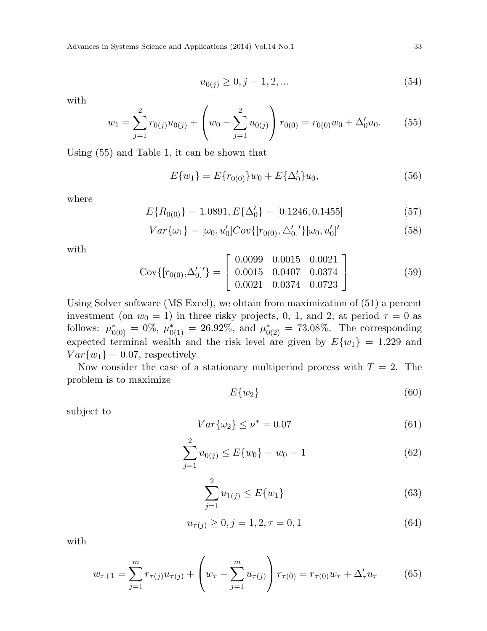$$
u_{0(j)} \ge 0, j = 1, 2, \dots \tag{54}
$$

with

$$
w_1 = \sum_{j=1}^2 r_{0(j)} u_{0(j)} + \left( w_0 - \sum_{j=1}^2 u_{0(j)} \right) r_{0(0)} = r_{0(0)} w_0 + \Delta'_0 u_0.
$$
 (55)

Using (55) and Table 1, it can be shown that

$$
E\{w_1\} = E\{r_{0(0)}\}w_0 + E\{\Delta'_0\}u_0,\tag{56}
$$

where

$$
E\{R_{0(0)}\} = 1.0891, E\{\Delta_0'\} = [0.1246, 0.1455] \tag{57}
$$

$$
Var{\{\omega_{1}\}} = [\omega_{0}, u'_{0}]Cov{\{[r_{0(0)}, \triangle'_{0}]\}}[\omega_{0}, u'_{0}]'
$$
\n(58)

with

$$
Cov\{[r_{0(0)}, \Delta'_0]'\} = \begin{bmatrix} 0.0099 & 0.0015 & 0.0021 \\ 0.0015 & 0.0407 & 0.0374 \\ 0.0021 & 0.0374 & 0.0723 \end{bmatrix}
$$
(59)

Using Solver software (MS Excel), we obtain from maximization of (51) a percent investment (on  $w_0 = 1$ ) in three risky projects, 0, 1, and 2, at period  $\tau = 0$  as follows:  $\mu_{0(0)}^* = 0\%$ ,  $\mu_{0(1)}^* = 26.92\%$ , and  $\mu_{0(2)}^* = 73.08\%$ . The corresponding expected terminal wealth and the risk level are given by  $E\{w_1\} = 1.229$  and  $Var\{w_1\} = 0.07$ , respectively.

Now consider the case of a stationary multiperiod process with  $T = 2$ . The problem is to maximize

$$
E\{w_2\} \tag{60}
$$

subject to

$$
Var\{\omega_2\} \le \nu^* = 0.07\tag{61}
$$

$$
\sum_{j=1}^{2} u_{0(j)} \le E\{w_0\} = w_0 = 1
$$
\n(62)

$$
\sum_{j=1}^{2} u_{1(j)} \le E\{w_1\} \tag{63}
$$

$$
u_{\tau(j)} \ge 0, j = 1, 2, \tau = 0, 1 \tag{64}
$$

with

$$
w_{\tau+1} = \sum_{j=1}^{m} r_{\tau(j)} u_{\tau(j)} + \left( w_{\tau} - \sum_{j=1}^{m} u_{\tau(j)} \right) r_{\tau(0)} = r_{\tau(0)} w_{\tau} + \Delta_{\tau}' u_{\tau}
$$
(65)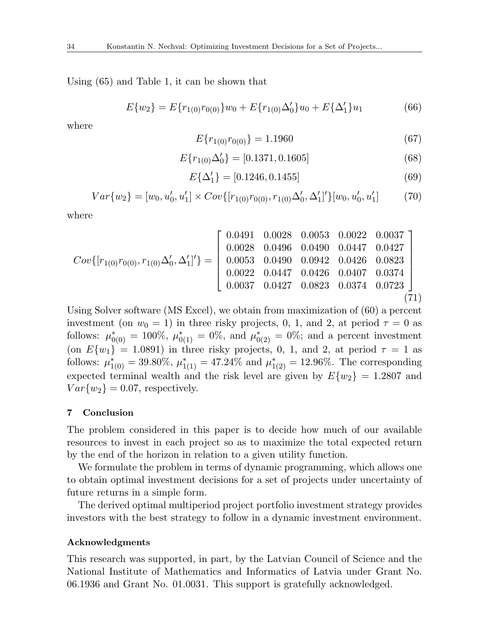Using (65) and Table 1, it can be shown that

$$
E\{w_2\} = E\{r_{1(0)}r_{0(0)}\}w_0 + E\{r_{1(0)}\Delta'_0\}u_0 + E\{\Delta'_1\}u_1\tag{66}
$$

where

$$
E\{r_{1(0)}r_{0(0)}\} = 1.1960\tag{67}
$$

$$
E\{r_{1(0)}\Delta_0'\} = [0.1371, 0.1605] \tag{68}
$$

$$
E\{\Delta_1'\} = [0.1246, 0.1455] \tag{69}
$$

$$
Var\{w_2\} = [w_0, u'_0, u'_1] \times Cov\{[r_{1(0)}r_{0(0)}, r_{1(0)}\Delta'_0, \Delta'_1]'\}[w_0, u'_0, u'_1] \tag{70}
$$

where

$$
Cov\{[r_{1(0)}r_{0(0)}, r_{1(0)}\Delta'_0, \Delta'_1]'\} = \begin{bmatrix} 0.0491 & 0.0028 & 0.0053 & 0.0022 & 0.0037 \\ 0.0028 & 0.0496 & 0.0490 & 0.0447 & 0.0427 \\ 0.0053 & 0.0490 & 0.0942 & 0.0426 & 0.0823 \\ 0.0022 & 0.0447 & 0.0426 & 0.0407 & 0.0374 \\ 0.0037 & 0.0427 & 0.0823 & 0.0374 & 0.0723 \end{bmatrix}
$$
(71)

Using Solver software (MS Excel), we obtain from maximization of (60) a percent investment (on  $w_0 = 1$ ) in three risky projects, 0, 1, and 2, at period  $\tau = 0$  as follows:  $\mu_{0(0)}^* = 100\%$ ,  $\mu_{0(1)}^* = 0\%$ , and  $\mu_{0(2)}^* = 0\%$ ; and a percent investment (on  $E\{w_1\} = 1.0891$ ) in three risky projects, 0, 1, and 2, at period  $\tau = 1$  as follows:  $\mu_{1(0)}^* = 39.80\%, \mu_{1(1)}^* = 47.24\%$  and  $\mu_{1(2)}^* = 12.96\%.$  The corresponding expected terminal wealth and the risk level are given by  $E\{w_2\} = 1.2807$  and  $Var\{w_2\} = 0.07$ , respectively.

### **7 Conclusion**

The problem considered in this paper is to decide how much of our available resources to invest in each project so as to maximize the total expected return by the end of the horizon in relation to a given utility function.

We formulate the problem in terms of dynamic programming, which allows one to obtain optimal investment decisions for a set of projects under uncertainty of future returns in a simple form.

The derived optimal multiperiod project portfolio investment strategy provides investors with the best strategy to follow in a dynamic investment environment.

### **Acknowledgments**

This research was supported, in part, by the Latvian Council of Science and the National Institute of Mathematics and Informatics of Latvia under Grant No. 06.1936 and Grant No. 01.0031. This support is gratefully acknowledged.